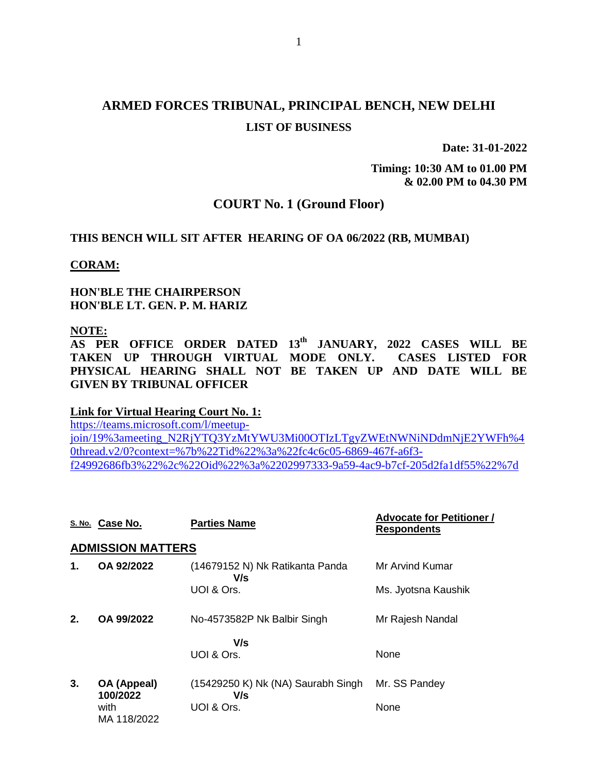# **ARMED FORCES TRIBUNAL, PRINCIPAL BENCH, NEW DELHI LIST OF BUSINESS**

**Date: 31-01-2022**

**Timing: 10:30 AM to 01.00 PM & 02.00 PM to 04.30 PM**

### **COURT No. 1 (Ground Floor)**

### **THIS BENCH WILL SIT AFTER HEARING OF OA 06/2022 (RB, MUMBAI)**

### **CORAM:**

### **HON'BLE THE CHAIRPERSON HON'BLE LT. GEN. P. M. HARIZ**

#### **NOTE:**

**AS PER OFFICE ORDER DATED 13th JANUARY, 2022 CASES WILL BE TAKEN UP THROUGH VIRTUAL MODE ONLY. CASES LISTED FOR PHYSICAL HEARING SHALL NOT BE TAKEN UP AND DATE WILL BE GIVEN BY TRIBUNAL OFFICER**

### **Link for Virtual Hearing Court No. 1:**

[https://teams.microsoft.com/l/meetup](https://teams.microsoft.com/l/meetup-join/19%3ameeting_N2RjYTQ3YzMtYWU3Mi00OTIzLTgyZWEtNWNiNDdmNjE2YWFh%40thread.v2/0?context=%7b%22Tid%22%3a%22fc4c6c05-6869-467f-a6f3-f24992686fb3%22%2c%22Oid%22%3a%2202997333-9a59-4ac9-b7cf-205d2fa1df55%22%7d)[join/19%3ameeting\\_N2RjYTQ3YzMtYWU3Mi00OTIzLTgyZWEtNWNiNDdmNjE2YWFh%4](https://teams.microsoft.com/l/meetup-join/19%3ameeting_N2RjYTQ3YzMtYWU3Mi00OTIzLTgyZWEtNWNiNDdmNjE2YWFh%40thread.v2/0?context=%7b%22Tid%22%3a%22fc4c6c05-6869-467f-a6f3-f24992686fb3%22%2c%22Oid%22%3a%2202997333-9a59-4ac9-b7cf-205d2fa1df55%22%7d) [0thread.v2/0?context=%7b%22Tid%22%3a%22fc4c6c05-6869-467f-a6f3](https://teams.microsoft.com/l/meetup-join/19%3ameeting_N2RjYTQ3YzMtYWU3Mi00OTIzLTgyZWEtNWNiNDdmNjE2YWFh%40thread.v2/0?context=%7b%22Tid%22%3a%22fc4c6c05-6869-467f-a6f3-f24992686fb3%22%2c%22Oid%22%3a%2202997333-9a59-4ac9-b7cf-205d2fa1df55%22%7d) [f24992686fb3%22%2c%22Oid%22%3a%2202997333-9a59-4ac9-b7cf-205d2fa1df55%22%7d](https://teams.microsoft.com/l/meetup-join/19%3ameeting_N2RjYTQ3YzMtYWU3Mi00OTIzLTgyZWEtNWNiNDdmNjE2YWFh%40thread.v2/0?context=%7b%22Tid%22%3a%22fc4c6c05-6869-467f-a6f3-f24992686fb3%22%2c%22Oid%22%3a%2202997333-9a59-4ac9-b7cf-205d2fa1df55%22%7d)

|    | S. No. Case No.          | <b>Parties Name</b>                                 | <b>Advocate for Petitioner /</b><br><b>Respondents</b> |
|----|--------------------------|-----------------------------------------------------|--------------------------------------------------------|
|    | <b>ADMISSION MATTERS</b> |                                                     |                                                        |
| 1. | OA 92/2022               | (14679152 N) Nk Ratikanta Panda<br>V/s              | <b>Mr Arvind Kumar</b>                                 |
|    |                          | UOI & Ors.                                          | Ms. Jyotsna Kaushik                                    |
| 2. | OA 99/2022               | No-4573582P Nk Balbir Singh                         | Mr Rajesh Nandal                                       |
|    |                          | V/s<br>UOI & Ors.                                   | None                                                   |
| 3. | OA (Appeal)<br>100/2022  | $(15429250 \text{ K})$ Nk (NA) Saurabh Singh<br>V/s | Mr. SS Pandey                                          |
|    | with<br>MA 118/2022      | UOI & Ors.                                          | None                                                   |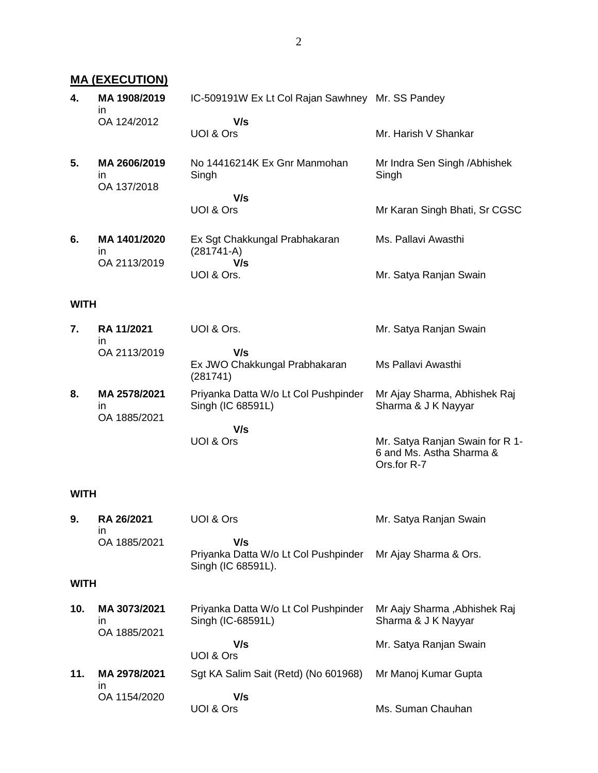## **MA (EXECUTION)**

| 4.          | MA 1908/2019<br>in.                 | IC-509191W Ex Lt Col Rajan Sawhney Mr. SS Pandey          |                                                     |
|-------------|-------------------------------------|-----------------------------------------------------------|-----------------------------------------------------|
|             | OA 124/2012                         | V/s<br>UOI & Ors                                          | Mr. Harish V Shankar                                |
| 5.          | MA 2606/2019<br>in.<br>OA 137/2018  | No 14416214K Ex Gnr Manmohan<br>Singh                     | Mr Indra Sen Singh / Abhishek<br>Singh              |
|             |                                     | V/s                                                       |                                                     |
|             |                                     | UOI & Ors                                                 | Mr Karan Singh Bhati, Sr CGSC                       |
| 6.          | MA 1401/2020<br>in.<br>OA 2113/2019 | Ex Sgt Chakkungal Prabhakaran<br>$(281741-A)$<br>V/s      | Ms. Pallavi Awasthi                                 |
|             |                                     | UOI & Ors.                                                | Mr. Satya Ranjan Swain                              |
| <b>WITH</b> |                                     |                                                           |                                                     |
| 7.          | <b>RA 11/2021</b><br>in.            | UOI & Ors.                                                | Mr. Satya Ranjan Swain                              |
|             | OA 2113/2019                        | V/s<br>Ex JWO Chakkungal Prabhakaran<br>(281741)          | Ms Pallavi Awasthi                                  |
| 8.          | MA 2578/2021<br>in<br>OA 1885/2021  | Priyanka Datta W/o Lt Col Pushpinder<br>Singh (IC 68591L) | Mr Ajay Sharma, Abhishek Raj<br>Sharma & J K Nayyar |

Mr. Satya Ranjan Swain for R 1- 6 and Ms. Astha Sharma &

Ors.for R-7

 **V/s** UOI & Ors

### **WITH**

| 9.          | RA 26/2021<br>in                   | UOI & Ors                                                         | Mr. Satya Ranjan Swain                              |
|-------------|------------------------------------|-------------------------------------------------------------------|-----------------------------------------------------|
|             | OA 1885/2021                       | V/s<br>Priyanka Datta W/o Lt Col Pushpinder<br>Singh (IC 68591L). | Mr Ajay Sharma & Ors.                               |
| <b>WITH</b> |                                    |                                                                   |                                                     |
| 10.         | MA 3073/2021<br>ın<br>OA 1885/2021 | Priyanka Datta W/o Lt Col Pushpinder<br>Singh (IC-68591L)         | Mr Aajy Sharma, Abhishek Raj<br>Sharma & J K Nayyar |
|             |                                    | V/s<br>UOI & Ors                                                  | Mr. Satya Ranjan Swain                              |
| 11.         | MA 2978/2021<br>in                 | Sgt KA Salim Sait (Retd) (No 601968)                              | Mr Manoj Kumar Gupta                                |
|             | OA 1154/2020                       | V/s<br>UOI & Ors                                                  | Ms. Suman Chauhan                                   |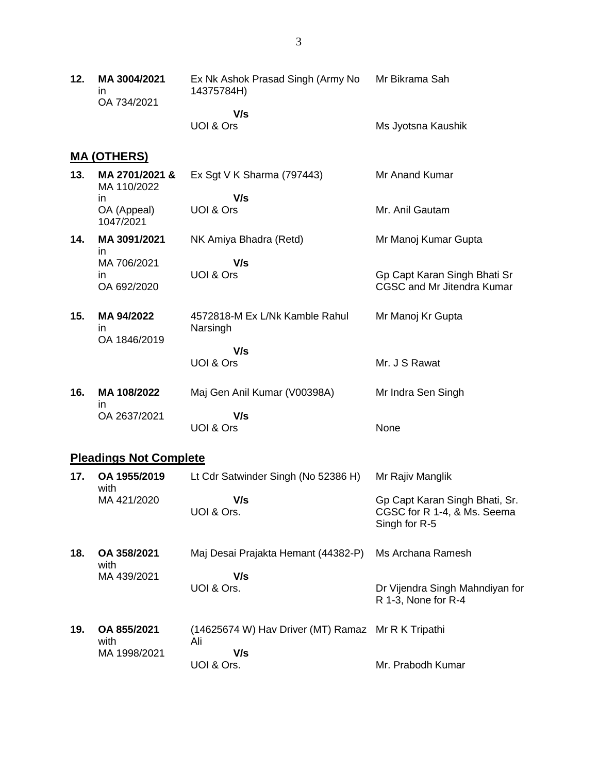| 12. | MA 3004/2021<br>ın               | Ex Nk Ashok Prasad Singh (Army No<br>14375784H) | Mr Bikrama Sah                                                                 |
|-----|----------------------------------|-------------------------------------------------|--------------------------------------------------------------------------------|
|     | OA 734/2021                      | V/s<br>UOI & Ors                                | Ms Jyotsna Kaushik                                                             |
|     | <b>MA (OTHERS)</b>               |                                                 |                                                                                |
| 13. | MA 2701/2021 &<br>MA 110/2022    | Ex Sgt V K Sharma (797443)<br>V/s               | <b>Mr Anand Kumar</b>                                                          |
|     | ın<br>OA (Appeal)<br>1047/2021   | UOI & Ors                                       | Mr. Anil Gautam                                                                |
| 14. | MA 3091/2021<br>ın               | NK Amiya Bhadra (Retd)                          | Mr Manoj Kumar Gupta                                                           |
|     | MA 706/2021<br>in<br>OA 692/2020 | V/s<br>UOI & Ors                                | Gp Capt Karan Singh Bhati Sr<br><b>CGSC and Mr Jitendra Kumar</b>              |
| 15. | MA 94/2022<br>ın<br>OA 1846/2019 | 4572818-M Ex L/Nk Kamble Rahul<br>Narsingh      | Mr Manoj Kr Gupta                                                              |
|     |                                  | V/s<br>UOI & Ors                                | Mr. J S Rawat                                                                  |
| 16. | MA 108/2022<br>ın                | Maj Gen Anil Kumar (V00398A)                    | Mr Indra Sen Singh                                                             |
|     | OA 2637/2021                     | V/s<br>UOI & Ors                                | None                                                                           |
|     | <b>Pleadings Not Complete</b>    |                                                 |                                                                                |
| 17. | OA 1955/2019<br>with             | Lt Cdr Satwinder Singh (No 52386 H)             | Mr Rajiv Manglik                                                               |
|     | MA 421/2020                      | V/s<br>UOI & Ors.                               | Gp Capt Karan Singh Bhati, Sr.<br>CGSC for R 1-4, & Ms. Seema<br>Singh for R-5 |
| 18. | OA 358/2021<br>with              | Maj Desai Prajakta Hemant (44382-P)             | Ms Archana Ramesh                                                              |
|     | MA 439/2021                      | V/s<br>UOI & Ors.                               | Dr Vijendra Singh Mahndiyan for<br>R 1-3, None for R-4                         |
| 19. | OA 855/2021<br>with              | (14625674 W) Hav Driver (MT) Ramaz<br>Ali       | Mr R K Tripathi                                                                |
|     | MA 1998/2021                     | V/s<br>UOI & Ors.                               | Mr. Prabodh Kumar                                                              |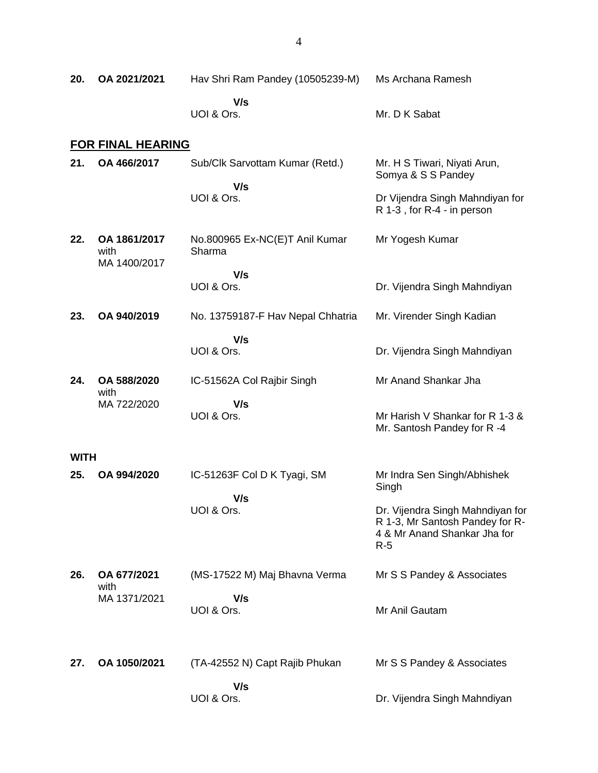| 20.         | OA 2021/2021             | Hav Shri Ram Pandey (10505239-M)         | Ms Archana Ramesh                                                                                            |
|-------------|--------------------------|------------------------------------------|--------------------------------------------------------------------------------------------------------------|
|             |                          | V/s<br>UOI & Ors.                        | Mr. D K Sabat                                                                                                |
|             | <b>FOR FINAL HEARING</b> |                                          |                                                                                                              |
| 21.         | OA 466/2017              | Sub/Clk Sarvottam Kumar (Retd.)          | Mr. H S Tiwari, Niyati Arun,<br>Somya & S S Pandey                                                           |
|             |                          | V/s<br>UOI & Ors.                        | Dr Vijendra Singh Mahndiyan for<br>R 1-3, for R-4 - in person                                                |
| 22.         | OA 1861/2017<br>with     | No.800965 Ex-NC(E)T Anil Kumar<br>Sharma | Mr Yogesh Kumar                                                                                              |
|             | MA 1400/2017             | V/s                                      |                                                                                                              |
|             |                          | UOI & Ors.                               | Dr. Vijendra Singh Mahndiyan                                                                                 |
| 23.         | OA 940/2019              | No. 13759187-F Hav Nepal Chhatria        | Mr. Virender Singh Kadian                                                                                    |
|             |                          | V/s<br>UOI & Ors.                        | Dr. Vijendra Singh Mahndiyan                                                                                 |
| 24.         | OA 588/2020<br>with      | IC-51562A Col Rajbir Singh               | Mr Anand Shankar Jha                                                                                         |
|             | MA 722/2020              | V/s<br>UOI & Ors.                        | Mr Harish V Shankar for R 1-3 &<br>Mr. Santosh Pandey for R-4                                                |
| <b>WITH</b> |                          |                                          |                                                                                                              |
| 25.         | OA 994/2020              | IC-51263F Col D K Tyagi, SM              | Mr Indra Sen Singh/Abhishek<br>Singh                                                                         |
|             |                          | V/s<br>UOI & Ors.                        | Dr. Vijendra Singh Mahndiyan for<br>R 1-3, Mr Santosh Pandey for R-<br>4 & Mr Anand Shankar Jha for<br>$R-5$ |
| 26.         | OA 677/2021<br>with      | (MS-17522 M) Maj Bhavna Verma            | Mr S S Pandey & Associates                                                                                   |
|             | MA 1371/2021             | V/s<br>UOI & Ors.                        | Mr Anil Gautam                                                                                               |
| 27.         | OA 1050/2021             | (TA-42552 N) Capt Rajib Phukan           | Mr S S Pandey & Associates                                                                                   |
|             |                          | V/s<br>UOI & Ors.                        | Dr. Vijendra Singh Mahndiyan                                                                                 |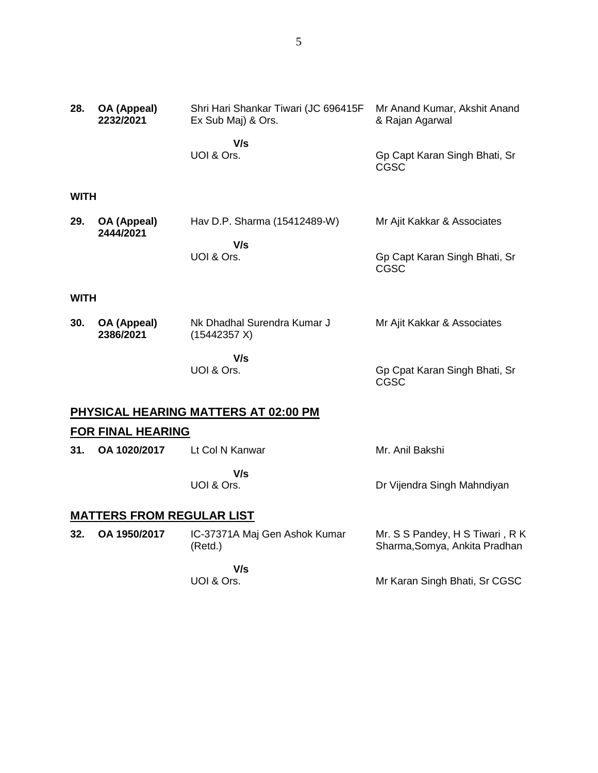| 28.         | OA (Appeal)<br>2232/2021         | Shri Hari Shankar Tiwari (JC 696415F<br>Ex Sub Maj) & Ors. | Mr Anand Kumar, Akshit Anand<br>& Rajan Agarwal |
|-------------|----------------------------------|------------------------------------------------------------|-------------------------------------------------|
|             |                                  | V/s<br>UOI & Ors.                                          | Gp Capt Karan Singh Bhati, Sr<br>CGSC           |
| <b>WITH</b> |                                  |                                                            |                                                 |
| 29.         | OA (Appeal)<br>2444/2021         | Hav D.P. Sharma (15412489-W)                               | Mr Ajit Kakkar & Associates                     |
|             |                                  | V/s<br>UOI & Ors.                                          | Gp Capt Karan Singh Bhati, Sr<br><b>CGSC</b>    |
| <b>WITH</b> |                                  |                                                            |                                                 |
| 30.         | OA (Appeal)<br>2386/2021         | Nk Dhadhal Surendra Kumar J<br>(15442357 X)                | Mr Ajit Kakkar & Associates                     |
|             |                                  | V/s<br>UOI & Ors.                                          | Gp Cpat Karan Singh Bhati, Sr<br><b>CGSC</b>    |
|             |                                  | PHYSICAL HEARING MATTERS AT 02:00 PM                       |                                                 |
|             | FOR FINAL HEARING                |                                                            |                                                 |
| 31.         | OA 1020/2017                     | Lt Col N Kanwar                                            | Mr. Anil Bakshi                                 |
|             |                                  | V/s<br>UOI & Ors.                                          | Dr Vijendra Singh Mahndiyan                     |
|             | <b>MATTERS FROM REGULAR LIST</b> |                                                            |                                                 |
| 32.         | OA 1950/2017                     | IC-37371A Maj Gen Ashok Kumar                              | Mr. S S Pandey, H S Tiwari, R K                 |

(Retd.)  **V/s** UOI & Ors. Sharma,Somya, Ankita Pradhan Mr Karan Singh Bhati, Sr CGSC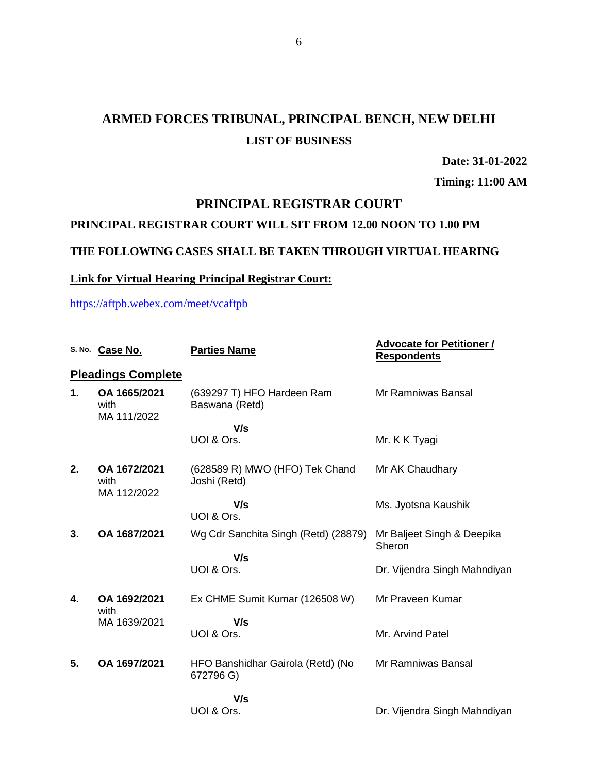# **ARMED FORCES TRIBUNAL, PRINCIPAL BENCH, NEW DELHI LIST OF BUSINESS**

**Date: 31-01-2022**

**Timing: 11:00 AM**

### **PRINCIPAL REGISTRAR COURT**

### **PRINCIPAL REGISTRAR COURT WILL SIT FROM 12.00 NOON TO 1.00 PM**

### **THE FOLLOWING CASES SHALL BE TAKEN THROUGH VIRTUAL HEARING**

### **Link for Virtual Hearing Principal Registrar Court:**

<https://aftpb.webex.com/meet/vcaftpb>

|    | S. No. Case No.                     | <b>Parties Name</b>                            | <b>Advocate for Petitioner /</b><br><b>Respondents</b> |
|----|-------------------------------------|------------------------------------------------|--------------------------------------------------------|
|    | <b>Pleadings Complete</b>           |                                                |                                                        |
| 1. | OA 1665/2021<br>with<br>MA 111/2022 | (639297 T) HFO Hardeen Ram<br>Baswana (Retd)   | Mr Ramniwas Bansal                                     |
|    |                                     | V/s                                            |                                                        |
|    |                                     | UOI & Ors.                                     | Mr. K K Tyagi                                          |
| 2. | OA 1672/2021<br>with<br>MA 112/2022 | (628589 R) MWO (HFO) Tek Chand<br>Joshi (Retd) | Mr AK Chaudhary                                        |
|    |                                     | V/s<br>UOI & Ors.                              | Ms. Jyotsna Kaushik                                    |
| 3. | OA 1687/2021                        | Wg Cdr Sanchita Singh (Retd) (28879)           | Mr Baljeet Singh & Deepika<br>Sheron                   |
|    |                                     | V/s                                            |                                                        |
|    |                                     | UOI & Ors.                                     | Dr. Vijendra Singh Mahndiyan                           |
| 4. | OA 1692/2021<br>with                | Ex CHME Sumit Kumar (126508 W)                 | Mr Praveen Kumar                                       |
|    | MA 1639/2021                        | V/s                                            |                                                        |
|    |                                     | UOI & Ors.                                     | Mr. Arvind Patel                                       |
| 5. | OA 1697/2021                        | HFO Banshidhar Gairola (Retd) (No<br>672796 G) | Mr Ramniwas Bansal                                     |
|    |                                     | V/s<br>UOI & Ors.                              | Dr. Vijendra Singh Mahndiyan                           |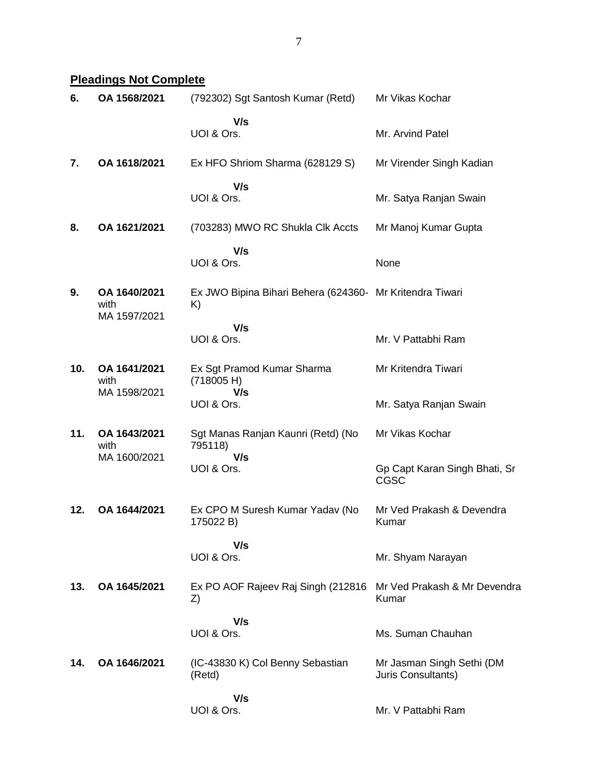**Pleadings Not Complete**

| 6.  | OA 1568/2021                         | (792302) Sgt Santosh Kumar (Retd)                              | Mr Vikas Kochar                                 |
|-----|--------------------------------------|----------------------------------------------------------------|-------------------------------------------------|
|     |                                      | V/s<br>UOI & Ors.                                              | Mr. Arvind Patel                                |
| 7.  | OA 1618/2021                         | Ex HFO Shriom Sharma (628129 S)                                | Mr Virender Singh Kadian                        |
|     |                                      | V/s<br>UOI & Ors.                                              | Mr. Satya Ranjan Swain                          |
| 8.  | OA 1621/2021                         | (703283) MWO RC Shukla Clk Accts                               | Mr Manoj Kumar Gupta                            |
|     |                                      | V/s<br>UOI & Ors.                                              | None                                            |
| 9.  | OA 1640/2021<br>with<br>MA 1597/2021 | Ex JWO Bipina Bihari Behera (624360- Mr Kritendra Tiwari<br>K) |                                                 |
|     |                                      | V/s<br>UOI & Ors.                                              | Mr. V Pattabhi Ram                              |
| 10. | OA 1641/2021<br>with<br>MA 1598/2021 | Ex Sgt Pramod Kumar Sharma<br>(718005 H)<br>V/s                | Mr Kritendra Tiwari                             |
|     |                                      | UOI & Ors.                                                     | Mr. Satya Ranjan Swain                          |
| 11. | OA 1643/2021<br>with                 | Sgt Manas Ranjan Kaunri (Retd) (No<br>795118)                  | Mr Vikas Kochar                                 |
|     | MA 1600/2021                         | V/s<br>UOI & Ors.                                              | Gp Capt Karan Singh Bhati, Sr<br>CGSC           |
| 12. | OA 1644/2021                         | Ex CPO M Suresh Kumar Yadav (No<br>175022 B)                   | Mr Ved Prakash & Devendra<br>Kumar              |
|     |                                      | V/s<br>UOI & Ors.                                              | Mr. Shyam Narayan                               |
| 13. | OA 1645/2021                         | Ex PO AOF Rajeev Raj Singh (212816)<br>Z)                      | Mr Ved Prakash & Mr Devendra<br>Kumar           |
|     |                                      | V/s<br>UOI & Ors.                                              | Ms. Suman Chauhan                               |
| 14. | OA 1646/2021                         | (IC-43830 K) Col Benny Sebastian<br>(Retd)                     | Mr Jasman Singh Sethi (DM<br>Juris Consultants) |
|     |                                      | V/s<br>UOI & Ors.                                              | Mr. V Pattabhi Ram                              |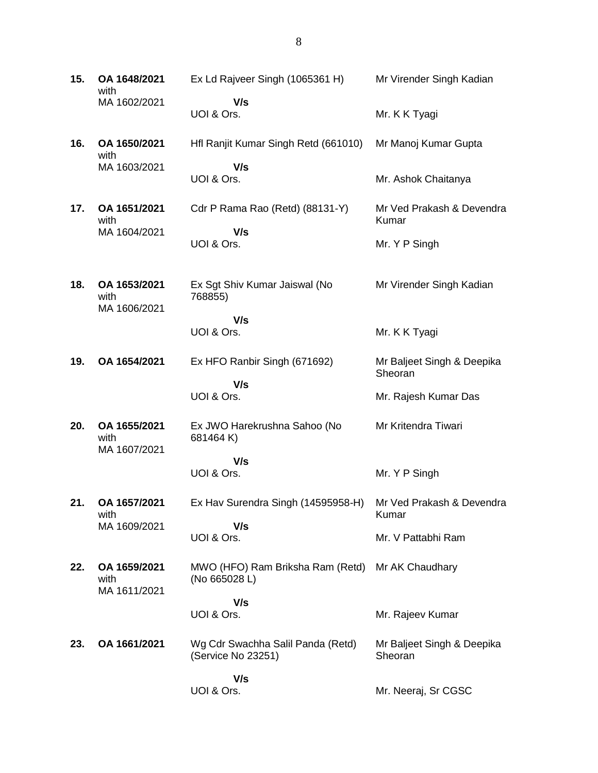**15. OA 1648/2021** with MA 1602/2021 Ex Ld Rajveer Singh (1065361 H)  **V/s** UOI & Ors. Mr Virender Singh Kadian Mr. K K Tyagi **16. OA 1650/2021** with MA 1603/2021 Hfl Ranjit Kumar Singh Retd (661010)  **V/s** UOI & Ors. Mr Manoj Kumar Gupta Mr. Ashok Chaitanya **17. OA 1651/2021** with MA 1604/2021 Cdr P Rama Rao (Retd) (88131-Y)  **V/s** UOI & Ors. Mr Ved Prakash & Devendra Kumar Mr. Y P Singh **18. OA 1653/2021** with MA 1606/2021 Ex Sgt Shiv Kumar Jaiswal (No 768855)  **V/s** UOI & Ors. Mr Virender Singh Kadian Mr. K K Tyagi **19. OA 1654/2021** Ex HFO Ranbir Singh (671692)  **V/s** UOI & Ors. Mr Baljeet Singh & Deepika **Sheoran** Mr. Rajesh Kumar Das **20. OA 1655/2021** with MA 1607/2021 Ex JWO Harekrushna Sahoo (No 681464 K)  **V/s** UOI & Ors. Mr Kritendra Tiwari Mr. Y P Singh **21. OA 1657/2021** with MA 1609/2021 Ex Hav Surendra Singh (14595958-H)  **V/s** UOI & Ors. Mr Ved Prakash & Devendra Kumar Mr. V Pattabhi Ram **22. OA 1659/2021** with MA 1611/2021 MWO (HFO) Ram Briksha Ram (Retd) Mr AK Chaudhary (No 665028 L)  **V/s** UOI & Ors. Mr. Rajeev Kumar **23. OA 1661/2021** Wg Cdr Swachha Salil Panda (Retd) (Service No 23251)  **V/s** UOI & Ors. Mr Baljeet Singh & Deepika Sheoran Mr. Neeraj, Sr CGSC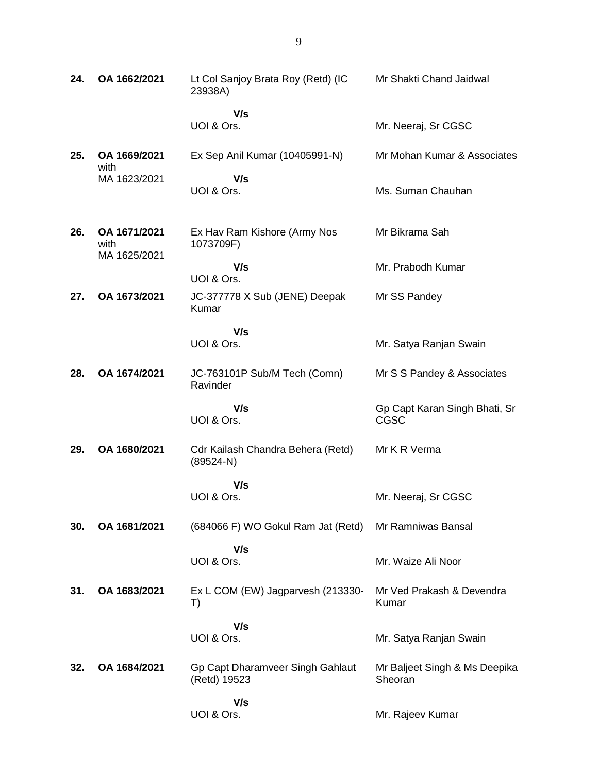| 24. | OA 1662/2021                         | Lt Col Sanjoy Brata Roy (Retd) (IC<br>23938A)    | Mr Shakti Chand Jaidwal                      |
|-----|--------------------------------------|--------------------------------------------------|----------------------------------------------|
|     |                                      | V/s<br>UOI & Ors.                                | Mr. Neeraj, Sr CGSC                          |
| 25. | OA 1669/2021<br>with                 | Ex Sep Anil Kumar (10405991-N)                   | Mr Mohan Kumar & Associates                  |
|     | MA 1623/2021                         | V/s<br>UOI & Ors.                                | Ms. Suman Chauhan                            |
| 26. | OA 1671/2021<br>with<br>MA 1625/2021 | Ex Hav Ram Kishore (Army Nos<br>1073709F)        | Mr Bikrama Sah                               |
|     |                                      | V/s<br>UOI & Ors.                                | Mr. Prabodh Kumar                            |
| 27. | OA 1673/2021                         | JC-377778 X Sub (JENE) Deepak<br>Kumar           | Mr SS Pandey                                 |
|     |                                      | V/s<br>UOI & Ors.                                | Mr. Satya Ranjan Swain                       |
|     |                                      |                                                  |                                              |
| 28. | OA 1674/2021                         | JC-763101P Sub/M Tech (Comn)<br>Ravinder         | Mr S S Pandey & Associates                   |
|     |                                      | V/s<br>UOI & Ors.                                | Gp Capt Karan Singh Bhati, Sr<br><b>CGSC</b> |
| 29. | OA 1680/2021                         | Cdr Kailash Chandra Behera (Retd)<br>$(89524-N)$ | Mr K R Verma                                 |
|     |                                      | V/s                                              |                                              |
|     |                                      |                                                  |                                              |
|     |                                      | UOI & Ors.                                       | Mr. Neeraj, Sr CGSC                          |
| 30. | OA 1681/2021                         | (684066 F) WO Gokul Ram Jat (Retd)               | Mr Ramniwas Bansal                           |
|     |                                      | V/s<br>UOI & Ors.                                | Mr. Waize Ali Noor                           |
| 31. | OA 1683/2021                         | Ex L COM (EW) Jagparvesh (213330-<br>T)          | Mr Ved Prakash & Devendra<br>Kumar           |
|     |                                      | V/s<br>UOI & Ors.                                | Mr. Satya Ranjan Swain                       |
| 32. | OA 1684/2021                         | Gp Capt Dharamveer Singh Gahlaut<br>(Retd) 19523 | Mr Baljeet Singh & Ms Deepika<br>Sheoran     |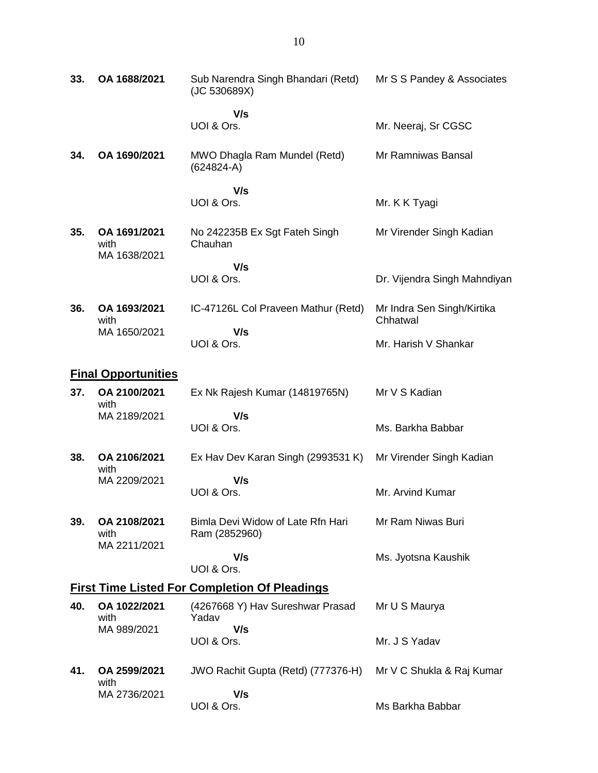| 33. | OA 1688/2021                         | Sub Narendra Singh Bhandari (Retd)<br>(JC 530689X)   | Mr S S Pandey & Associates             |
|-----|--------------------------------------|------------------------------------------------------|----------------------------------------|
|     |                                      | V/s<br>UOI & Ors.                                    | Mr. Neeraj, Sr CGSC                    |
| 34. | OA 1690/2021                         | MWO Dhagla Ram Mundel (Retd)<br>$(624824-A)$         | Mr Ramniwas Bansal                     |
|     |                                      | V/s<br>UOI & Ors.                                    | Mr. K K Tyagi                          |
| 35. | OA 1691/2021<br>with                 | No 242235B Ex Sgt Fateh Singh<br>Chauhan             | Mr Virender Singh Kadian               |
|     | MA 1638/2021                         | V/s<br>UOI & Ors.                                    | Dr. Vijendra Singh Mahndiyan           |
| 36. | OA 1693/2021<br>with                 | IC-47126L Col Praveen Mathur (Retd)                  | Mr Indra Sen Singh/Kirtika<br>Chhatwal |
|     | MA 1650/2021                         | V/s<br>UOI & Ors.                                    | Mr. Harish V Shankar                   |
|     | <b>Final Opportunities</b>           |                                                      |                                        |
| 37. | OA 2100/2021<br>with                 | Ex Nk Rajesh Kumar (14819765N)                       | Mr V S Kadian                          |
|     | MA 2189/2021                         | V/s<br>UOI & Ors.                                    | Ms. Barkha Babbar                      |
| 38. | OA 2106/2021<br>with                 | Ex Hav Dev Karan Singh (2993531 K)                   | Mr Virender Singh Kadian               |
|     | MA 2209/2021                         | V/s<br>UOI & Ors.                                    | Mr. Arvind Kumar                       |
| 39. | OA 2108/2021<br>with<br>MA 2211/2021 | Bimla Devi Widow of Late Rfn Hari<br>Ram (2852960)   | Mr Ram Niwas Buri                      |
|     |                                      | V/s<br>UOI & Ors.                                    | Ms. Jyotsna Kaushik                    |
|     |                                      | <b>First Time Listed For Completion Of Pleadings</b> |                                        |
| 40. | OA 1022/2021<br>with                 | (4267668 Y) Hav Sureshwar Prasad<br>Yadav            | Mr U S Maurya                          |
|     | MA 989/2021                          | V/s<br>UOI & Ors.                                    | Mr. J S Yadav                          |
| 41. | OA 2599/2021<br>with                 | JWO Rachit Gupta (Retd) (777376-H)                   | Mr V C Shukla & Raj Kumar              |
|     | MA 2736/2021                         | V/s                                                  |                                        |

Ms Barkha Babbar

UOI & Ors.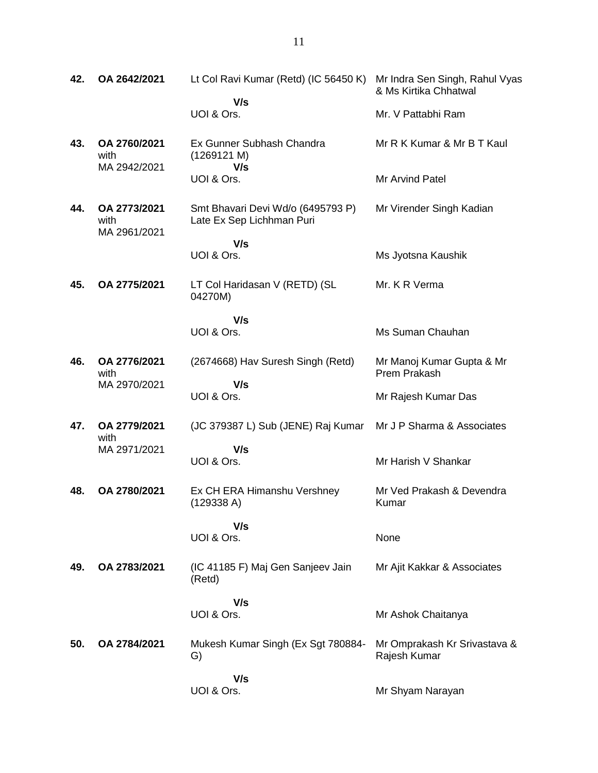| 42. | OA 2642/2021                         | Lt Col Ravi Kumar (Retd) (IC 56450 K)                          | Mr Indra Sen Singh, Rahul Vyas<br>& Ms Kirtika Chhatwal |
|-----|--------------------------------------|----------------------------------------------------------------|---------------------------------------------------------|
|     |                                      | V/s<br>UOI & Ors.                                              | Mr. V Pattabhi Ram                                      |
| 43. | OA 2760/2021<br>with<br>MA 2942/2021 | Ex Gunner Subhash Chandra<br>(1269121 M)<br>V/s                | Mr R K Kumar & Mr B T Kaul                              |
|     |                                      | UOI & Ors.                                                     | Mr Arvind Patel                                         |
| 44. | OA 2773/2021<br>with<br>MA 2961/2021 | Smt Bhavari Devi Wd/o (6495793 P)<br>Late Ex Sep Lichhman Puri | Mr Virender Singh Kadian                                |
|     |                                      | V/s<br>UOI & Ors.                                              | Ms Jyotsna Kaushik                                      |
| 45. | OA 2775/2021                         | LT Col Haridasan V (RETD) (SL<br>04270M)                       | Mr. K R Verma                                           |
|     |                                      | V/s<br>UOI & Ors.                                              | Ms Suman Chauhan                                        |
| 46. | OA 2776/2021<br>with                 | (2674668) Hav Suresh Singh (Retd)                              | Mr Manoj Kumar Gupta & Mr<br>Prem Prakash               |
|     | MA 2970/2021                         | V/s<br>UOI & Ors.                                              | Mr Rajesh Kumar Das                                     |
| 47. | OA 2779/2021<br>with                 | (JC 379387 L) Sub (JENE) Raj Kumar                             | Mr J P Sharma & Associates                              |
|     | MA 2971/2021                         | V/s<br>UOI & Ors.                                              | Mr Harish V Shankar                                     |
| 48. | OA 2780/2021                         | Ex CH ERA Himanshu Vershney<br>(129338 A)                      | Mr Ved Prakash & Devendra<br>Kumar                      |
|     |                                      | V/s<br>UOI & Ors.                                              | None                                                    |
| 49. | OA 2783/2021                         | (IC 41185 F) Maj Gen Sanjeev Jain<br>(Retd)                    | Mr Ajit Kakkar & Associates                             |
|     |                                      | V/s<br>UOI & Ors.                                              | Mr Ashok Chaitanya                                      |
| 50. | OA 2784/2021                         | Mukesh Kumar Singh (Ex Sgt 780884-<br>G)                       | Mr Omprakash Kr Srivastava &<br>Rajesh Kumar            |
|     |                                      | V/s<br>UOI & Ors.                                              | Mr Shyam Narayan                                        |